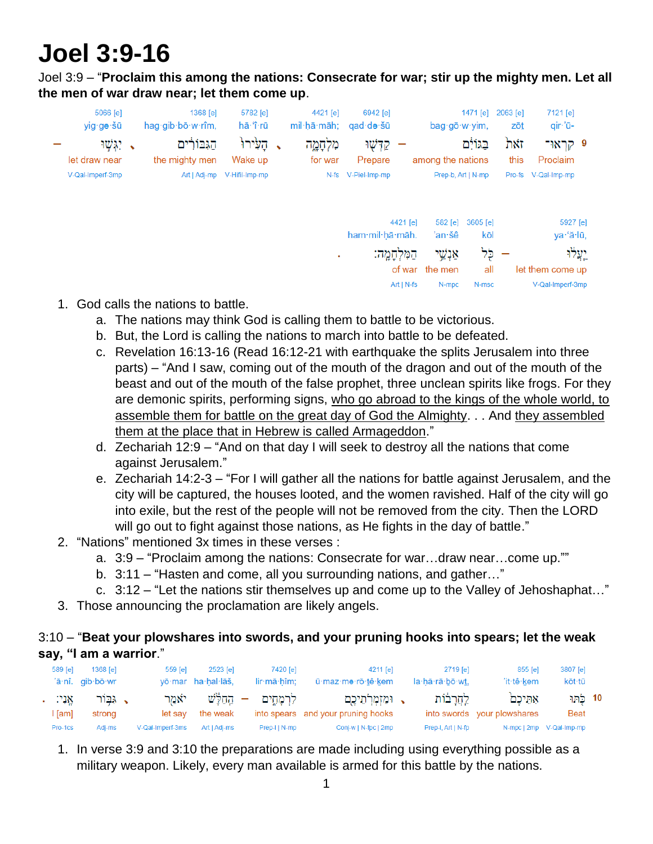# **Joel 3:9-16**

Joel 3:9 – "**Proclaim this among the nations: Consecrate for war; stir up the mighty men. Let all the men of war draw near; let them come up**.

| zōt                                                                                                                |                  |                      |                                                                       | 6942 [e]<br>qad∙də∙šū | 4421 [e]                                                                |             | 5782 [e]<br>hā·'î·rū | 1368 [e]<br>hag gib bo w rîm, | 5066 [e]<br>yig∙gə·šū                |
|--------------------------------------------------------------------------------------------------------------------|------------------|----------------------|-----------------------------------------------------------------------|-----------------------|-------------------------------------------------------------------------|-------------|----------------------|-------------------------------|--------------------------------------|
| זאת<br>this                                                                                                        |                  |                      |                                                                       | קדְשָׁוּ<br>Prepare   | מִלְחָמֶה<br>for war                                                    |             | Wake up              | הגבורים<br>the mighty men     | ג יִגְ <i>ּשׁוּ</i><br>let draw near |
| Pro-fs                                                                                                             |                  |                      |                                                                       | V-Piel-Imp-mp         | $N-fs$                                                                  |             | V-Hifil-Imp-mp       | Art   Adj-mp                  | V-Qal-Imperf-3mp                     |
|                                                                                                                    |                  |                      |                                                                       |                       |                                                                         |             |                      |                               |                                      |
|                                                                                                                    | kōl              | 'an∙šê               |                                                                       |                       |                                                                         |             |                      |                               |                                      |
|                                                                                                                    | כָּל             | אַנְשֵׁי             |                                                                       |                       |                                                                         |             |                      |                               |                                      |
|                                                                                                                    | all              | the men              |                                                                       |                       |                                                                         |             |                      |                               |                                      |
|                                                                                                                    | N-msc            | N-mpc                |                                                                       |                       |                                                                         |             |                      |                               |                                      |
| 7121 [e]<br>qir·'ū-<br>9 קראו־<br>Proclaim<br>V-Qal-Imp-mp<br>5927 [e]<br>ya·'ă·lū,<br>יְעֲלוּ<br>V-Qal-Imperf-3mp | let them come up | 2063 [e]<br>3605 [e] | 1471 [e]<br>bag.gō.w.yim,<br>בגולם<br>Prep-b, Art   N-mp<br>$582$ [e] | among the nations     | 4421 [e]<br>ham mil hā māh.<br>הַמְּלְחַמֵה:<br>of war<br>$Art   N-fs $ | mil·hā·māh: |                      | הַעֲיׁרוּ                     |                                      |

- 1. God calls the nations to battle.
	- a. The nations may think God is calling them to battle to be victorious.
	- b. But, the Lord is calling the nations to march into battle to be defeated.
	- c. Revelation 16:13-16 (Read 16:12-21 with earthquake the splits Jerusalem into three parts) – "And I saw, coming out of the mouth of the dragon and out of the mouth of the beast and out of the mouth of the false prophet, three unclean spirits like frogs. For they are demonic spirits, performing signs, who go abroad to the kings of the whole world, to assemble them for battle on the great day of God the Almighty. . . And they assembled them at the place that in Hebrew is called Armageddon."
	- d. Zechariah 12:9 "And on that day I will seek to destroy all the nations that come against Jerusalem."
	- e. Zechariah 14:2-3 "For I will gather all the nations for battle against Jerusalem, and the city will be captured, the houses looted, and the women ravished. Half of the city will go into exile, but the rest of the people will not be removed from the city. Then the LORD will go out to fight against those nations, as He fights in the day of battle."
- 2. "Nations" mentioned 3x times in these verses :
	- a. 3:9 "Proclaim among the nations: Consecrate for war…draw near…come up.""
	- b. 3:11 "Hasten and come, all you surrounding nations, and gather…"
	- c. 3:12 "Let the nations stir themselves up and come up to the Valley of Jehoshaphat…"
- 3. Those announcing the proclamation are likely angels.

## 3:10 – "**Beat your plowshares into swords, and your pruning hooks into spears; let the weak say, "I am a warrior**."

| 589 [e]            | $1368$ [e]<br>'ā·nî. gib·bō·wr | 559 <b>[e]</b>   | 2523 [e]<br>yō·mar ha·hal·lāš, | 7420 [e]<br>lir·mā·hîm: | 4211 [e]<br>ū·maz·mə·rō·tê·kem                           | 2719 lel<br>la·hă·rā·bō·wt. | 855 [e]<br>'it-tê-kem                | 3807 [e]<br>kōt∙tū         |  |
|--------------------|--------------------------------|------------------|--------------------------------|-------------------------|----------------------------------------------------------|-----------------------------|--------------------------------------|----------------------------|--|
| אַנִי: .<br>l ſaml | → גִּבִּוֹר<br>strong          | יאמר<br>let sav  | — הַחַלֵּשׁ<br>the weak        | לרמחים                  | √ וּמַזְמְרֹתֵיכֶם<br>into spears and your pruning hooks | <u>לחרבות</u>               | אתיכם<br>into swords your plowshares | 10 כַרְּזוּ<br><b>Beat</b> |  |
| Pro-1cs            | Adj-ms                         | V-Qal-Imperf-3ms | Art   Adj-ms                   | Prep-IIN-mp             | Conj-w   N-fpc   2mp                                     | Prep-I, Art   N-fp          |                                      | N-mpc   2mp V-Qal-Imp-mp   |  |

1. In verse 3:9 and 3:10 the preparations are made including using everything possible as a military weapon. Likely, every man available is armed for this battle by the nations.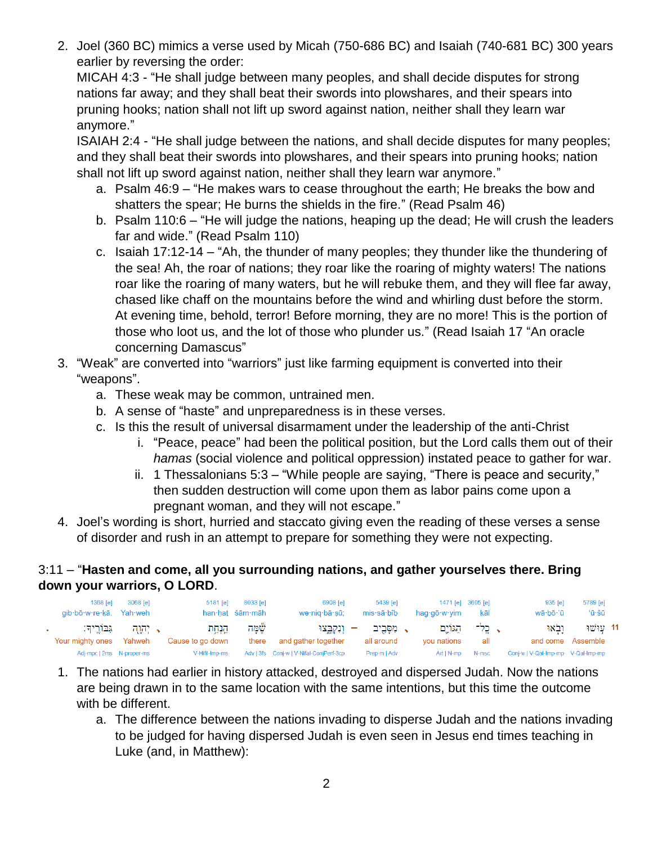2. Joel (360 BC) mimics a verse used by Micah (750-686 BC) and Isaiah (740-681 BC) 300 years earlier by reversing the order:

MICAH 4:3 - "He shall judge between many peoples, and shall decide disputes for strong nations far away; and they shall beat their swords into plowshares, and their spears into pruning hooks; nation shall not lift up sword against nation, neither shall they learn war anymore."

ISAIAH 2:4 - "He shall judge between the nations, and shall decide disputes for many peoples; and they shall beat their swords into plowshares, and their spears into pruning hooks; nation shall not lift up sword against nation, neither shall they learn war anymore."

- a. Psalm 46:9 "He makes wars to cease throughout the earth; He breaks the bow and shatters the spear; He burns the shields in the fire." (Read Psalm 46)
- b. Psalm 110:6 "He will judge the nations, heaping up the dead; He will crush the leaders far and wide." (Read Psalm 110)
- c. Isaiah 17:12-14 "Ah, the thunder of many peoples; they thunder like the thundering of the sea! Ah, the roar of nations; they roar like the roaring of mighty waters! The nations roar like the roaring of many waters, but he will rebuke them, and they will flee far away, chased like chaff on the mountains before the wind and whirling dust before the storm. At evening time, behold, terror! Before morning, they are no more! This is the portion of those who loot us, and the lot of those who plunder us." (Read Isaiah 17 "An oracle concerning Damascus"
- 3. "Weak" are converted into "warriors" just like farming equipment is converted into their "weapons".
	- a. These weak may be common, untrained men.
	- b. A sense of "haste" and unpreparedness is in these verses.
	- c. Is this the result of universal disarmament under the leadership of the anti-Christ
		- i. "Peace, peace" had been the political position, but the Lord calls them out of their *hamas* (social violence and political oppression) instated peace to gather for war.
		- ii. 1 Thessalonians 5:3 "While people are saying, "There is peace and security," then sudden destruction will come upon them as labor pains come upon a pregnant woman, and they will not escape."
- 4. Joel's wording is short, hurried and staccato giving even the reading of these verses a sense of disorder and rush in an attempt to prepare for something they were not expecting.

# 3:11 – "**Hasten and come, all you surrounding nations, and gather yourselves there. Bring down your warriors, O LORD**.

| 1368 [e]<br>gib·bō·w·re·kā. Yah·weh | 3068 [e]                | $5181$ [e]               | 8033 [e]<br>han hat šām māh | 6908 [e]<br>wə·niq·bā·sū;               |                          | 5439 [e]<br>mis·sā·bîb | haq∙qō∙w∙yim         | 1471 [e] 3605 [e]<br>kāl | 935 [e]<br>wā·bō·'ū                 | 5789 [e]<br>'ū·šū |  |
|-------------------------------------|-------------------------|--------------------------|-----------------------------|-----------------------------------------|--------------------------|------------------------|----------------------|--------------------------|-------------------------------------|-------------------|--|
| גבוריד:<br>Your mighty ones         | א יִהְוָה היד<br>Yahweh | הנחת<br>Cause to go down | שָׁמַה<br>there             | ונקבצוּ<br>and gather together          | $\overline{\phantom{a}}$ | ג מסביב<br>all around  | הגוים<br>vou nations | $\sim$ בל־<br>all        | ובאו<br>and come Assemble           | 11 - עוּ שׁוּ     |  |
| Adj-mpc   2ms N-proper-ms           |                         | V-Hifil-Imp-ms           |                             | Adv   3fs Conj-w   V-Nifal-ConjPerf-3cp |                          | Prep-m   Adv           | Art I N-mp           | N-msc                    | Conj-w   V-Qal-Imp-mp  V-Qal-Imp-mp |                   |  |

- 1. The nations had earlier in history attacked, destroyed and dispersed Judah. Now the nations are being drawn in to the same location with the same intentions, but this time the outcome with be different.
	- a. The difference between the nations invading to disperse Judah and the nations invading to be judged for having dispersed Judah is even seen in Jesus end times teaching in Luke (and, in Matthew):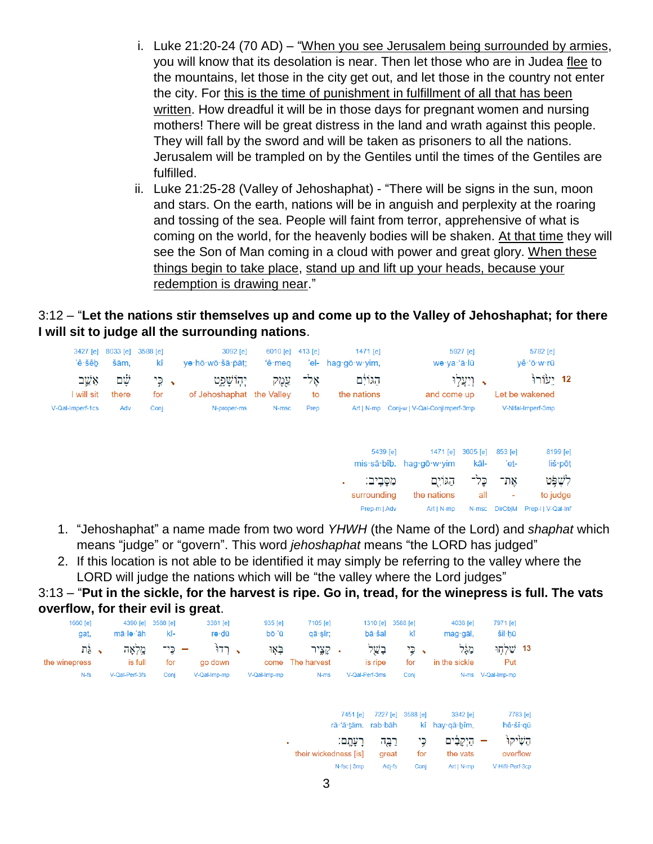- i. Luke 21:20-24 (70 AD) "When you see Jerusalem being surrounded by armies, you will know that its desolation is near. Then let those who are in Judea flee to the mountains, let those in the city get out, and let those in the country not enter the city. For this is the time of punishment in fulfillment of all that has been written. How dreadful it will be in those days for pregnant women and nursing mothers! There will be great distress in the land and wrath against this people. They will fall by the sword and will be taken as prisoners to all the nations. Jerusalem will be trampled on by the Gentiles until the times of the Gentiles are fulfilled.
- ii. Luke 21:25-28 (Valley of Jehoshaphat) "There will be signs in the sun, moon and stars. On the earth, nations will be in anguish and perplexity at the roaring and tossing of the sea. People will faint from terror, apprehensive of what is coming on the world, for the heavenly bodies will be shaken. At that time they will see the Son of Man coming in a cloud with power and great glory. When these things begin to take place, stand up and lift up your heads, because your redemption is drawing near."

#### 3:12 – "**Let the nations stir themselves up and come up to the Valley of Jehoshaphat; for there I will sit to judge all the surrounding nations**.

| 3427 [e]<br>'ê·šêb   | šām.         | 8033 [e] 3588 [e]<br>kî | 3092 [e]<br>yə·hō·wō·šā·pāt;              | 6010 [e] 413 [e]<br>$'e$ ·meq |            | 1471 [e]<br>'el- hag-gō-w-yim,                              | wə·ya·'ă·lū                                      | 5927 [e]         |                            | 5782 [e]<br>yê 'ō w rū                 |
|----------------------|--------------|-------------------------|-------------------------------------------|-------------------------------|------------|-------------------------------------------------------------|--------------------------------------------------|------------------|----------------------------|----------------------------------------|
| אַשֵׁב<br>I will sit | 'nÿ<br>there | י ⊊י<br>for             | יְהְוֹשָׁפֵט<br>of Jehoshaphat the Valley | אֲמֶק                         | אָל־<br>to | הגולם<br>the nations                                        | and come up                                      | ּ וְיַעֲלְוּ     |                            | 12 יַעוֹרוּ<br>Let be wakened          |
| V-Qal-Imperf-1cs     | Adv          | Conj                    | N-proper-ms                               | N-msc                         | Prep       |                                                             | Art   N-mp Conj-w   V-Qal-ConjImperf-3mp         |                  |                            | V-Nifal-Imperf-3mp                     |
|                      |              |                         |                                           |                               |            |                                                             | 5439 [e]<br>1471 [e]<br>mis sā bîb. hag gō w yim | 3605 [e]<br>kāl- | 853 [e]<br>'et-            | 8199 [e]<br>liš pōt                    |
|                      |              |                         |                                           |                               |            | מִסַּבֵיב:<br>$\blacksquare$<br>surrounding<br>Pren-m   Adv | הגוום<br>the nations<br>$Art$   N. mn            | כֶּל־<br>all     | אָת־<br>٠<br>N.msc DirOhiM | לשְפּט<br>to judge<br>Pren-LLV-Oal-Inf |

- 1. "Jehoshaphat" a name made from two word *YHWH* (the Name of the Lord) and *shaphat* which means "judge" or "govern". This word *jehoshaphat* means "the LORD has judged"
- 2. If this location is not able to be identified it may simply be referring to the valley where the LORD will judge the nations which will be "the valley where the Lord judges"

#### 3:13 – "**Put in the sickle, for the harvest is ripe. Go in, tread, for the winepress is full. The vats overflow, for their evil is great**.

| $1660$ [e]<br>ga <u>t,</u> | mā∙lə∙'āh          | 4390 [e] 3588 [e]<br>kî- | 3381 [e]<br>rə∙dū | 935 [e]<br>bō·'ū | 7105 [e]<br>qā sîr;  |                                         | 1310 [e] 3588 [e]<br>bā šal | kî                | 4038 [e]<br>mag gāl,               | 7971 [e]<br>šil·hū          |                      |
|----------------------------|--------------------|--------------------------|-------------------|------------------|----------------------|-----------------------------------------|-----------------------------|-------------------|------------------------------------|-----------------------------|----------------------|
| → גַּת<br>the winepress    | מֱלְאָה<br>is full | כֵי־<br>for              | . רדו<br>go down  | באו<br>come      | קצֵיר<br>The harvest | ×                                       | בְשֵׁל<br>is ripe           | י ⊊י<br>for       | מְלֵל<br>in the sickle             | 13 <i>שְׁלְ</i> חָוּ<br>Put |                      |
| $N-fs$                     | V-Qal-Perf-3fs     | Conj                     | V-Qal-Imp-mp      | V-Qal-Imp-mp     | N-ms                 |                                         | V-Qal-Perf-3ms              | Conj              |                                    | N-ms V-Qal-Imp-mp           |                      |
|                            |                    |                          |                   |                  |                      | 7451 [e]<br>$r\bar{a}$ ·'ā·tām. rab·bāh |                             | 7227 [e] 3588 [e] | 3342 [e]<br>$k\hat{i}$ hay gā bim, |                             | 7783 [e]<br>hê šî gū |

רַעַתָם:

their wickedness [is] great

רַבֵּה

השיקו

overflow

כֵי

for the vats

– הַיִּקְבִים